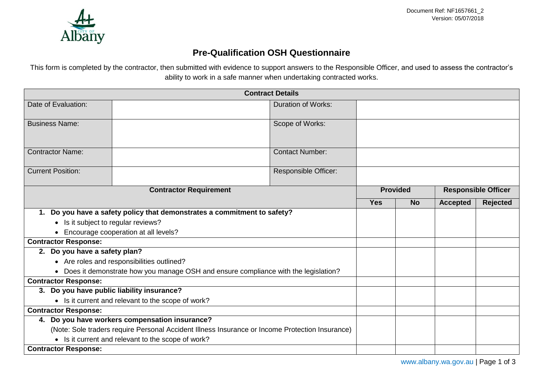

## **Pre-Qualification OSH Questionnaire**

This form is completed by the contractor, then submitted with evidence to support answers to the Responsible Officer, and used to assess the contractor's ability to work in a safe manner when undertaking contracted works.

| <b>Contract Details</b>                                                                         |  |                           |            |                            |                 |                 |  |
|-------------------------------------------------------------------------------------------------|--|---------------------------|------------|----------------------------|-----------------|-----------------|--|
| Date of Evaluation:                                                                             |  | <b>Duration of Works:</b> |            |                            |                 |                 |  |
| <b>Business Name:</b>                                                                           |  | Scope of Works:           |            |                            |                 |                 |  |
| <b>Contractor Name:</b>                                                                         |  | <b>Contact Number:</b>    |            |                            |                 |                 |  |
| <b>Current Position:</b>                                                                        |  | Responsible Officer:      |            |                            |                 |                 |  |
| <b>Contractor Requirement</b>                                                                   |  | <b>Provided</b>           |            | <b>Responsible Officer</b> |                 |                 |  |
|                                                                                                 |  |                           | <b>Yes</b> | <b>No</b>                  | <b>Accepted</b> | <b>Rejected</b> |  |
| 1. Do you have a safety policy that demonstrates a commitment to safety?                        |  |                           |            |                            |                 |                 |  |
| • Is it subject to regular reviews?                                                             |  |                           |            |                            |                 |                 |  |
| Encourage cooperation at all levels?                                                            |  |                           |            |                            |                 |                 |  |
| <b>Contractor Response:</b>                                                                     |  |                           |            |                            |                 |                 |  |
| 2. Do you have a safety plan?                                                                   |  |                           |            |                            |                 |                 |  |
| • Are roles and responsibilities outlined?                                                      |  |                           |            |                            |                 |                 |  |
| • Does it demonstrate how you manage OSH and ensure compliance with the legislation?            |  |                           |            |                            |                 |                 |  |
| <b>Contractor Response:</b>                                                                     |  |                           |            |                            |                 |                 |  |
| 3. Do you have public liability insurance?                                                      |  |                           |            |                            |                 |                 |  |
| • Is it current and relevant to the scope of work?                                              |  |                           |            |                            |                 |                 |  |
| <b>Contractor Response:</b>                                                                     |  |                           |            |                            |                 |                 |  |
| 4. Do you have workers compensation insurance?                                                  |  |                           |            |                            |                 |                 |  |
| (Note: Sole traders require Personal Accident Illness Insurance or Income Protection Insurance) |  |                           |            |                            |                 |                 |  |
| • Is it current and relevant to the scope of work?                                              |  |                           |            |                            |                 |                 |  |
| <b>Contractor Response:</b>                                                                     |  |                           |            |                            |                 |                 |  |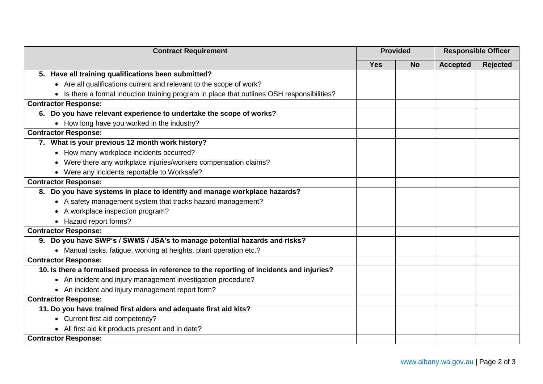| <b>Contract Requirement</b>                                                                 |            | <b>Provided</b> |                 | <b>Responsible Officer</b> |  |
|---------------------------------------------------------------------------------------------|------------|-----------------|-----------------|----------------------------|--|
|                                                                                             | <b>Yes</b> | <b>No</b>       | <b>Accepted</b> | <b>Rejected</b>            |  |
| 5. Have all training qualifications been submitted?                                         |            |                 |                 |                            |  |
| • Are all qualifications current and relevant to the scope of work?                         |            |                 |                 |                            |  |
| • Is there a formal induction training program in place that outlines OSH responsibilities? |            |                 |                 |                            |  |
| <b>Contractor Response:</b>                                                                 |            |                 |                 |                            |  |
| 6. Do you have relevant experience to undertake the scope of works?                         |            |                 |                 |                            |  |
| • How long have you worked in the industry?                                                 |            |                 |                 |                            |  |
| <b>Contractor Response:</b>                                                                 |            |                 |                 |                            |  |
| 7. What is your previous 12 month work history?                                             |            |                 |                 |                            |  |
| • How many workplace incidents occurred?                                                    |            |                 |                 |                            |  |
| • Were there any workplace injuries/workers compensation claims?                            |            |                 |                 |                            |  |
| • Were any incidents reportable to Worksafe?                                                |            |                 |                 |                            |  |
| <b>Contractor Response:</b>                                                                 |            |                 |                 |                            |  |
| 8. Do you have systems in place to identify and manage workplace hazards?                   |            |                 |                 |                            |  |
| • A safety management system that tracks hazard management?                                 |            |                 |                 |                            |  |
| • A workplace inspection program?                                                           |            |                 |                 |                            |  |
| • Hazard report forms?                                                                      |            |                 |                 |                            |  |
| <b>Contractor Response:</b>                                                                 |            |                 |                 |                            |  |
| 9. Do you have SWP's / SWMS / JSA's to manage potential hazards and risks?                  |            |                 |                 |                            |  |
| • Manual tasks, fatigue, working at heights, plant operation etc.?                          |            |                 |                 |                            |  |
| <b>Contractor Response:</b>                                                                 |            |                 |                 |                            |  |
| 10. Is there a formalised process in reference to the reporting of incidents and injuries?  |            |                 |                 |                            |  |
| • An incident and injury management investigation procedure?                                |            |                 |                 |                            |  |
| • An incident and injury management report form?                                            |            |                 |                 |                            |  |
| <b>Contractor Response:</b>                                                                 |            |                 |                 |                            |  |
| 11. Do you have trained first aiders and adequate first aid kits?                           |            |                 |                 |                            |  |
| • Current first aid competency?                                                             |            |                 |                 |                            |  |
| • All first aid kit products present and in date?                                           |            |                 |                 |                            |  |
| <b>Contractor Response:</b>                                                                 |            |                 |                 |                            |  |